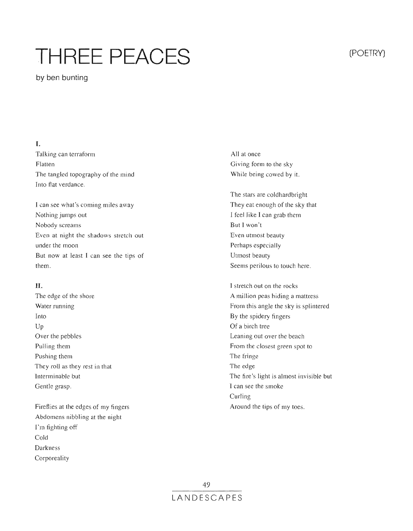# THREE PEACES **SECURITE PROPERTY**

by ben bunting

## I.

Talking can terraform Flatten The tangled topography of the mind Into flat verdance.

I can see what's coming miles away Nothing jumps out Nobody screams Even at night the shadows stretch out under the moon But now at least I can see the tips of them.

### **II.**

The edge of the shore Water running Into Up Over the pebbles Pulling them Pushing them They roll as they rest in that Interminable but Gentle grasp.

Fireflies at the edges of my fingers Abdomens nibbling at the night I'm fighting off Cold Darkness Corporeality

All at once Giving form to the sky While being cowed by it.

The stars are coldhardbright They eat enough of the sky that I feel like I can grab them But I won't Even utmost Perhaps especially Utmost beauty Seems perilous to touch here.

I stretch out on the rocks A million peas hiding a mattress From this angle the sky is splintered By the spidery fingers Of a birch tree Leaning out over the beach From the closest green spot to The fringe The edge The fire's light is almost invisible but I can see the smoke Curling Around the tips of my toes.